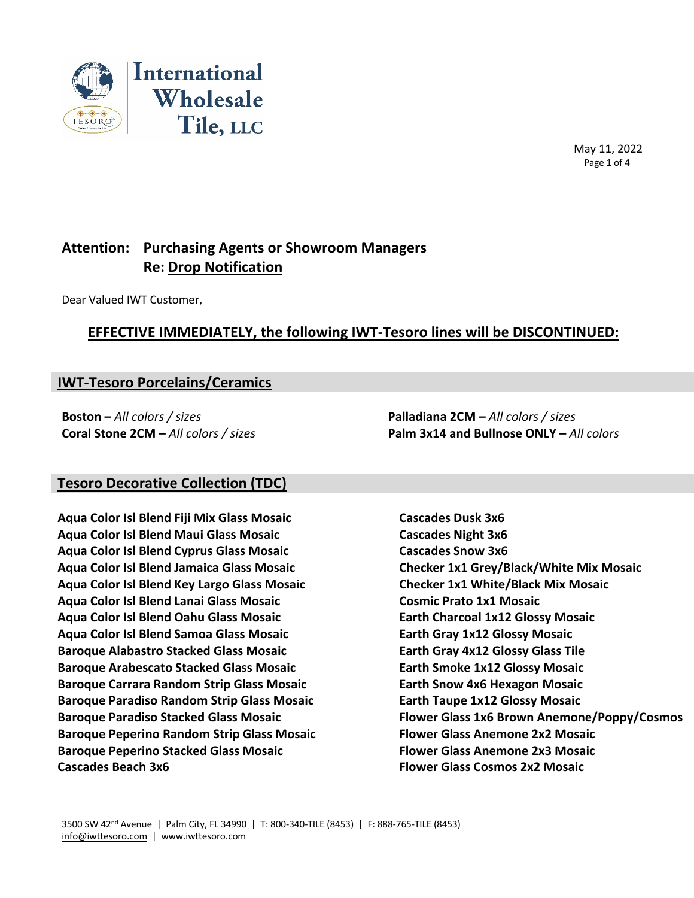

 May 11, 2022 Page 1 of 4

# **Attention: Purchasing Agents or Showroom Managers Re: Drop Notification**

Dear Valued IWT Customer,

## **EFFECTIVE IMMEDIATELY, the following IWT-Tesoro lines will be DISCONTINUED:**

## **IWT-Tesoro Porcelains/Ceramics**

**Boston –** *All colors / sizes* **Palladiana 2CM –** *All colors / sizes*

**Coral Stone 2CM –** *All colors / sizes* **Palm 3x14 and Bullnose ONLY –** *All colors*

#### **Tesoro Decorative Collection (TDC)**

**Aqua Color Isl Blend Fiji Mix Glass Mosaic Cascades Dusk 3x6 Aqua Color Isl Blend Maui Glass Mosaic Cascades Night 3x6 Aqua Color Isl Blend Cyprus Glass Mosaic Cascades Snow 3x6 Aqua Color Isl Blend Jamaica Glass Mosaic Checker 1x1 Grey/Black/White Mix Mosaic Aqua Color Isl Blend Key Largo Glass Mosaic Checker 1x1 White/Black Mix Mosaic Aqua Color Isl Blend Lanai Glass Mosaic Cosmic Prato 1x1 Mosaic Aqua Color Isl Blend Oahu Glass Mosaic Earth Charcoal 1x12 Glossy Mosaic Aqua Color Isl Blend Samoa Glass Mosaic Earth Gray 1x12 Glossy Mosaic Baroque Alabastro Stacked Glass Mosaic Earth Gray 4x12 Glossy Glass Tile Baroque Arabescato Stacked Glass Mosaic Earth Smoke 1x12 Glossy Mosaic Baroque Carrara Random Strip Glass Mosaic Earth Snow 4x6 Hexagon Mosaic Baroque Paradiso Random Strip Glass Mosaic Earth Taupe 1x12 Glossy Mosaic Baroque Peperino Random Strip Glass Mosaic Flower Glass Anemone 2x2 Mosaic Baroque Peperino Stacked Glass Mosaic Flower Glass Anemone 2x3 Mosaic Cascades Beach 3x6 Flower Glass Cosmos 2x2 Mosaic**

**Baroque Paradiso Stacked Glass Mosaic Flower Glass 1x6 Brown Anemone/Poppy/Cosmos**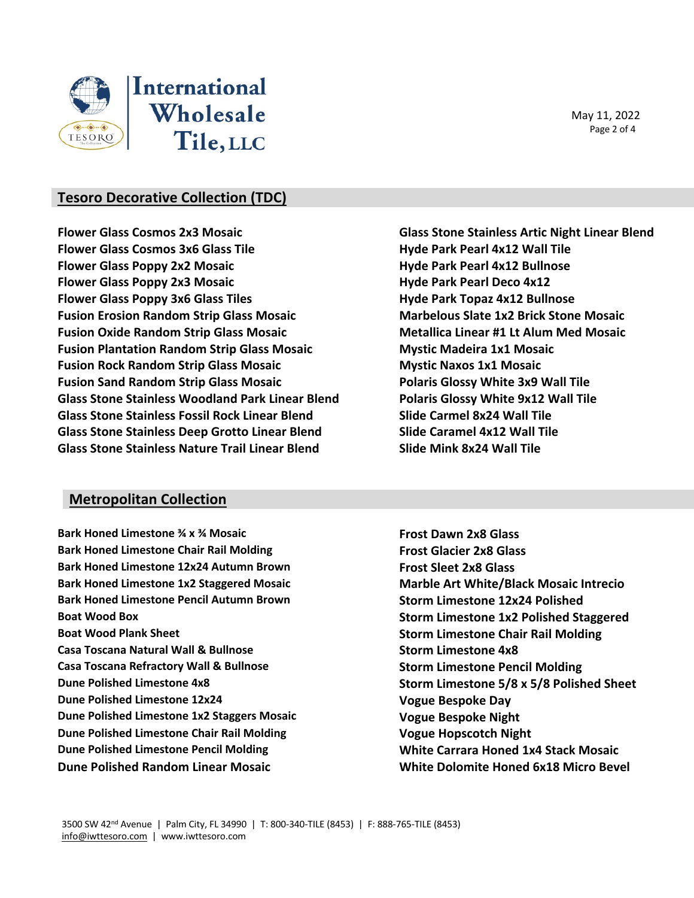

May 11, 2022 Page 2 of 4

## **Tesoro Decorative Collection (TDC)**

**Flower Glass Cosmos 2x3 Mosaic Glass Stone Stainless Artic Night Linear Blend Flower Glass Cosmos 3x6 Glass Tile Hyde Park Pearl 4x12 Wall Tile Flower Glass Poppy 2x2 Mosaic Hyde Park Pearl 4x12 Bullnose Flower Glass Poppy 2x3 Mosaic Hyde Park Pearl Deco 4x12 Flower Glass Poppy 3x6 Glass Tiles Hyde Park Topaz 4x12 Bullnose Fusion Erosion Random Strip Glass Mosaic Marbelous Slate 1x2 Brick Stone Mosaic Fusion Oxide Random Strip Glass Mosaic Metallica Linear #1 Lt Alum Med Mosaic Fusion Plantation Random Strip Glass Mosaic Mystic Madeira 1x1 Mosaic Fusion Rock Random Strip Glass Mosaic Mystic Naxos 1x1 Mosaic Fusion Sand Random Strip Glass Mosaic Polaris Glossy White 3x9 Wall Tile Glass Stone Stainless Woodland Park Linear Blend Polaris Glossy White 9x12 Wall Tile Glass Stone Stainless Fossil Rock Linear Blend Slide Carmel 8x24 Wall Tile Glass Stone Stainless Deep Grotto Linear Blend Slide Caramel 4x12 Wall Tile Glass Stone Stainless Nature Trail Linear Blend Slide Mink 8x24 Wall Tile**

#### **Metropolitan Collection**

**Bark Honed Limestone ¾ x ¾ Mosaic Frost Dawn 2x8 Glass Bark Honed Limestone Chair Rail Molding The State of Limitate Care Frost Glacier 2x8 Glass Bark Honed Limestone 12x24 Autumn Brown Frost Sleet 2x8 Glass Bark Honed Limestone 1x2 Staggered Mosaic Marble Art White/Black Mosaic Intrecio Bark Honed Limestone Pencil Autumn Brown Storm Limestone 12x24 Polished Boat Wood Box Storm Limestone 1x2 Polished Staggered Boat Wood Plank Sheet Storm Limestone Chair Rail Molding Casa Toscana Natural Wall & Bullnose Storm Limestone 4x8 Casa Toscana Refractory Wall & Bullnose Storm Limestone Pencil Molding Dune Polished Limestone 4x8 Storm Limestone 5/8 x 5/8 Polished Sheet Dune Polished Limestone 12x24 Vogue Bespoke Day Dune Polished Limestone 1x2 Staggers Mosaic <b>Vogue Bespoke Night Dune Polished Limestone Chair Rail Molding The Connect Stude Chair Rail Monday Connect Vogue Hopscotch Night Dune Polished Limestone Pencil Molding White Carrara Honed 1x4 Stack Mosaic Dune Polished Random Linear Mosaic White Dolomite Honed 6x18 Micro Bevel**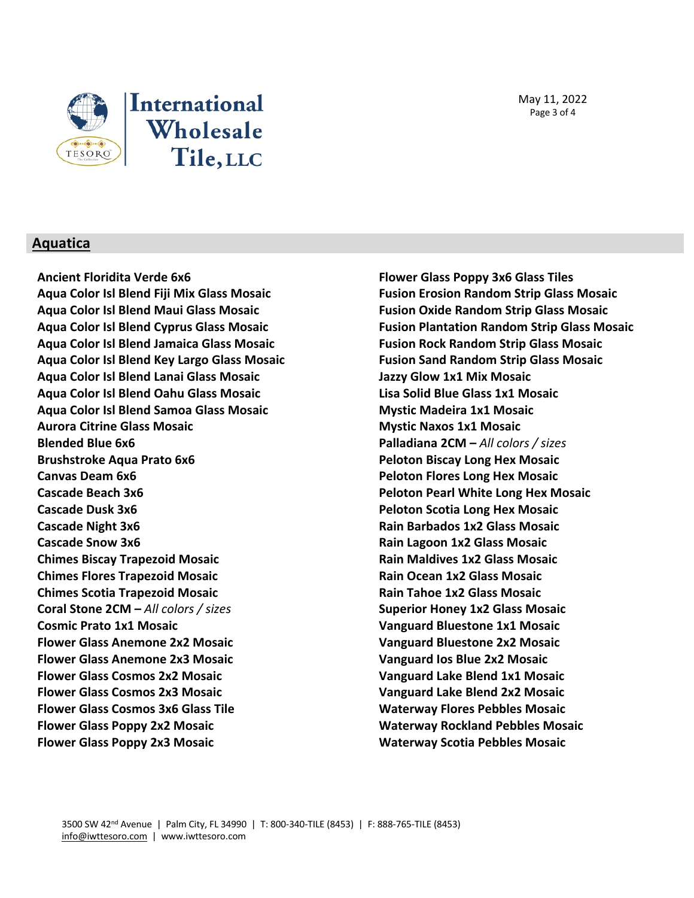



#### **Aquatica**

**Ancient Floridita Verde 6x6 Flower Glass Poppy 3x6 Glass Tiles Aqua Color Isl Blend Jamaica Glass Mosaic Fusion Rock Random Strip Glass Mosaic Aqua Color Isl Blend Key Largo Glass Mosaic Fusion Sand Random Strip Glass Mosaic Aqua Color Isl Blend Lanai Glass Mosaic Jazzy Glow 1x1 Mix Mosaic Aqua Color Isl Blend Oahu Glass Mosaic Lisa Solid Blue Glass 1x1 Mosaic Aqua Color Isl Blend Samoa Glass Mosaic Mystic Madeira 1x1 Mosaic Aurora Citrine Glass Mosaic Mystic Naxos 1x1 Mosaic Blended Blue 6x6 Palladiana 2CM –** *All colors / sizes* **Brushstroke Aqua Prato 6x6 Peloton Biscay Long Hex Mosaic Canvas Deam 6x6 Peloton Flores Long Hex Mosaic Cascade Beach 3x6 Peloton Pearl White Long Hex Mosaic Cascade Dusk 3x6 Peloton Scotia Long Hex Mosaic Cascade Night 3x6 Rain Barbados 1x2 Glass Mosaic Cascade Snow 3x6 Rain Lagoon 1x2 Glass Mosaic Chimes Biscay Trapezoid Mosaic Rain Maldives 1x2 Glass Mosaic Chimes Flores Trapezoid Mosaic Rain Ocean 1x2 Glass Mosaic Chimes Scotia Trapezoid Mosaic Rain Tahoe 1x2 Glass Mosaic Coral Stone 2CM –** *All colors / sizes* **Superior Honey 1x2 Glass Mosaic Cosmic Prato 1x1 Mosaic Vanguard Bluestone 1x1 Mosaic Flower Glass Anemone 2x2 Mosaic Vanguard Bluestone 2x2 Mosaic Flower Glass Anemone 2x3 Mosaic Vanguard Ios Blue 2x2 Mosaic Flower Glass Cosmos 2x2 Mosaic Vanguard Lake Blend 1x1 Mosaic Flower Glass Cosmos 2x3 Mosaic Vanguard Lake Blend 2x2 Mosaic Flower Glass Cosmos 3x6 Glass Tile Waterway Flores Pebbles Mosaic Flower Glass Poppy 2x2 Mosaic Waterway Rockland Pebbles Mosaic Flower Glass Poppy 2x3 Mosaic Waterway Scotia Pebbles Mosaic**

**Aqua Color Isl Blend Fiji Mix Glass Mosaic Fusion Erosion Random Strip Glass Mosaic Aqua Color Isl Blend Maui Glass Mosaic Fusion Oxide Random Strip Glass Mosaic Aqua Color Isl Blend Cyprus Glass Mosaic Fusion Plantation Random Strip Glass Mosaic**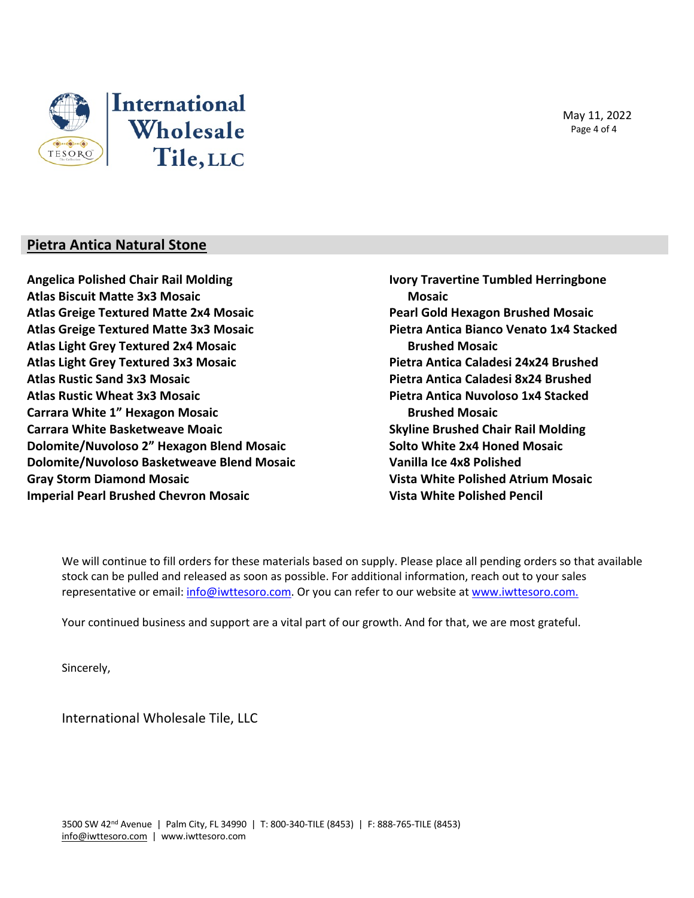



#### **Pietra Antica Natural Stone**

**Angelica Polished Chair Rail Molding Atlas Biscuit Matte 3x3 Mosaic Atlas Greige Textured Matte 2x4 Mosaic Atlas Greige Textured Matte 3x3 Mosaic Atlas Light Grey Textured 2x4 Mosaic Atlas Light Grey Textured 3x3 Mosaic Atlas Rustic Sand 3x3 Mosaic Atlas Rustic Wheat 3x3 Mosaic Carrara White 1" Hexagon Mosaic Carrara White Basketweave Moaic Dolomite/Nuvoloso 2" Hexagon Blend Mosaic Dolomite/Nuvoloso Basketweave Blend Mosaic Gray Storm Diamond Mosaic Imperial Pearl Brushed Chevron Mosaic**

**Ivory Travertine Tumbled Herringbone Mosaic Pearl Gold Hexagon Brushed Mosaic Pietra Antica Bianco Venato 1x4 Stacked Brushed Mosaic Pietra Antica Caladesi 24x24 Brushed Pietra Antica Caladesi 8x24 Brushed Pietra Antica Nuvoloso 1x4 Stacked Brushed Mosaic Skyline Brushed Chair Rail Molding Solto White 2x4 Honed Mosaic Vanilla Ice 4x8 Polished Vista White Polished Atrium Mosaic Vista White Polished Pencil**

We will continue to fill orders for these materials based on supply. Please place all pending orders so that available stock can be pulled and released as soon as possible. For additional information, reach out to your sales representative or email: info@iwttesoro.com. Or you can refer to our website at www.iwttesoro.com.

Your continued business and support are a vital part of our growth. And for that, we are most grateful.

Sincerely,

International Wholesale Tile, LLC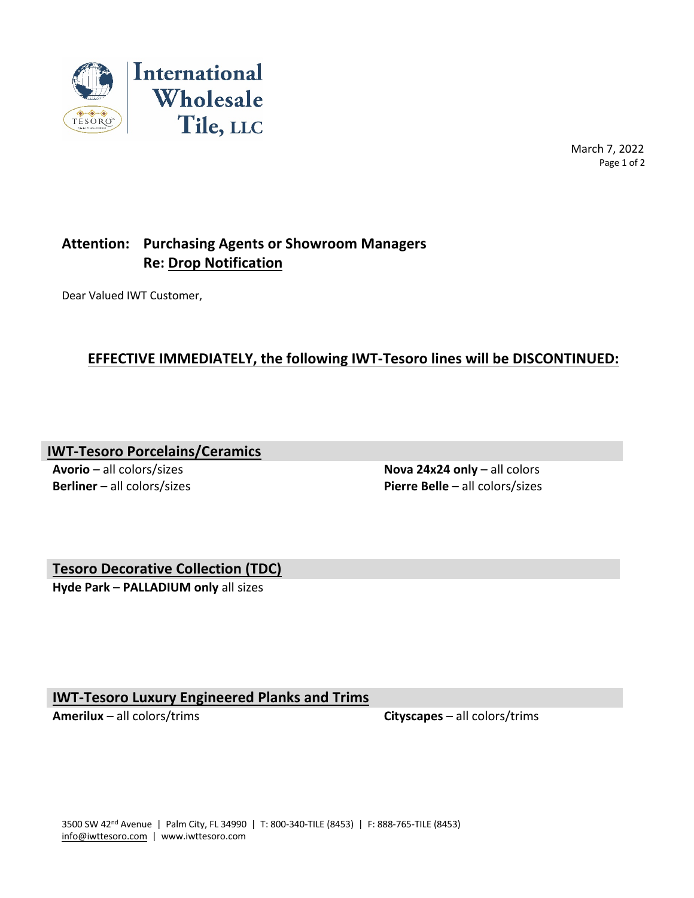

 March 7, 2022 Page 1 of 2

# **Attention: Purchasing Agents or Showroom Managers Re: Drop Notification**

Dear Valued IWT Customer,

# **EFFECTIVE IMMEDIATELY, the following IWT-Tesoro lines will be DISCONTINUED:**

**IWT-Tesoro Porcelains/Ceramics**

**Avorio** – all colors/sizes **Nova 24x24 only** – all colors **Berliner** – all colors/sizes **Pierre Belle** – all colors/sizes

**Tesoro Decorative Collection (TDC)**

**Hyde Park** – **PALLADIUM only** all sizes

**IWT-Tesoro Luxury Engineered Planks and Trims**

**Amerilux** – all colors/trims **Cityscapes** – all colors/trims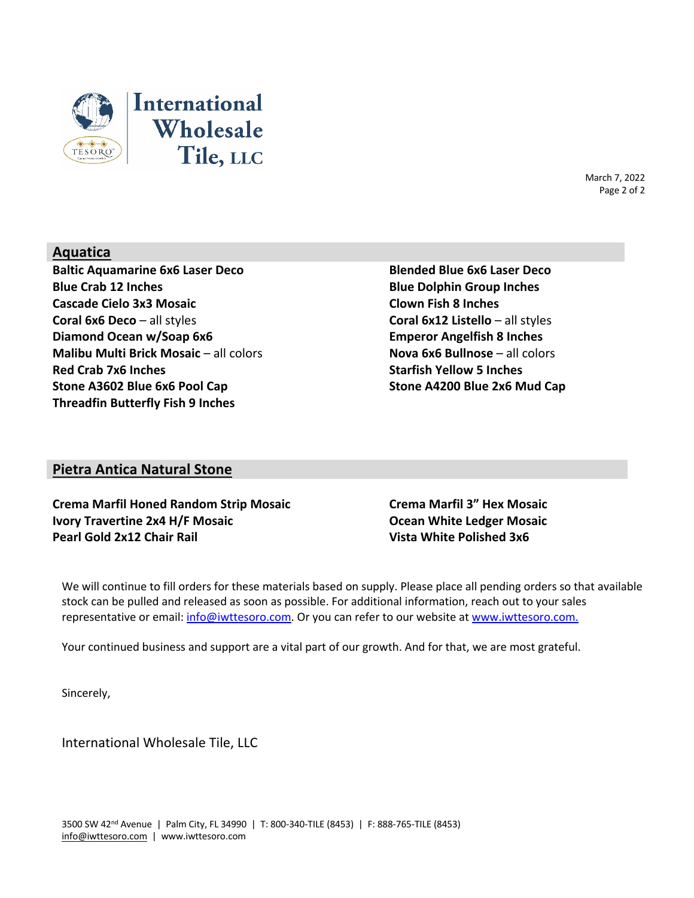

March 7, 2022 Page 2 of 2

## **Aquatica**

**Baltic Aquamarine 6x6 Laser Deco Blended Blue 6x6 Laser Deco Blue Crab 12 Inches Blue Dolphin Group Inches Cascade Cielo 3x3 Mosaic Clown Fish 8 Inches Coral 6x6 Deco** – all styles **Coral 6x12 Listello** – all styles **Diamond Ocean w/Soap 6x6 Emperor Angelfish 8 Inches Malibu Multi Brick Mosaic** – all colors **Nova 6x6 Bullnose** – all colors **Red Crab 7x6 Inches Starfish Yellow 5 Inches Stone A3602 Blue 6x6 Pool Cap Stone A4200 Blue 2x6 Mud Cap Threadfin Butterfly Fish 9 Inches**

#### **Pietra Antica Natural Stone**

**Crema Marfil Honed Random Strip Mosaic Crema Marfil 3" Hex Mosaic Ivory Travertine 2x4 H/F Mosaic Ocean White Ledger Mosaic Pearl Gold 2x12 Chair Rail Vista White Polished 3x6**

We will continue to fill orders for these materials based on supply. Please place all pending orders so that available stock can be pulled and released as soon as possible. For additional information, reach out to your sales representative or email: info@iwttesoro.com. Or you can refer to our website at www.iwttesoro.com.

Your continued business and support are a vital part of our growth. And for that, we are most grateful.

Sincerely,

International Wholesale Tile, LLC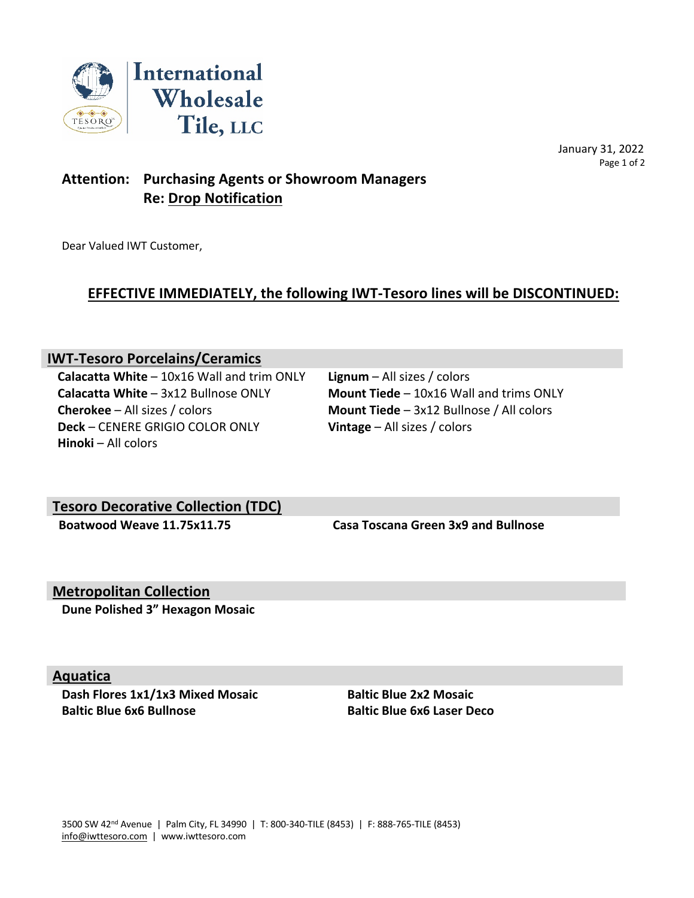

 January 31, 2022 Page 1 of 2

# **Attention: Purchasing Agents or Showroom Managers Re: Drop Notification**

Dear Valued IWT Customer,

# **EFFECTIVE IMMEDIATELY, the following IWT-Tesoro lines will be DISCONTINUED:**

## **IWT-Tesoro Porcelains/Ceramics**

**Calacatta White** – 10x16 Wall and trim ONLY **Lignum** – All sizes / colors **Calacatta White** – 3x12 Bullnose ONLY **Mount Tiede** – 10x16 Wall and trims ONLY **Cherokee** – All sizes / colors **Mount Tiede** – 3x12 Bullnose / All colors **Deck** – CENERE GRIGIO COLOR ONLY **Vintage** – All sizes / colors **Hinoki** – All colors

# **Tesoro Decorative Collection (TDC)**

 **Boatwood Weave 11.75x11.75 Casa Toscana Green 3x9 and Bullnose** 

## **Metropolitan Collection**

**Dune Polished 3" Hexagon Mosaic**

#### **Aquatica**

**Dash Flores 1x1/1x3 Mixed Mosaic <b>Baltic Blue 2x2 Mosaic Baltic Blue 6x6 Bullnose Baltic Blue 6x6 Laser Deco**